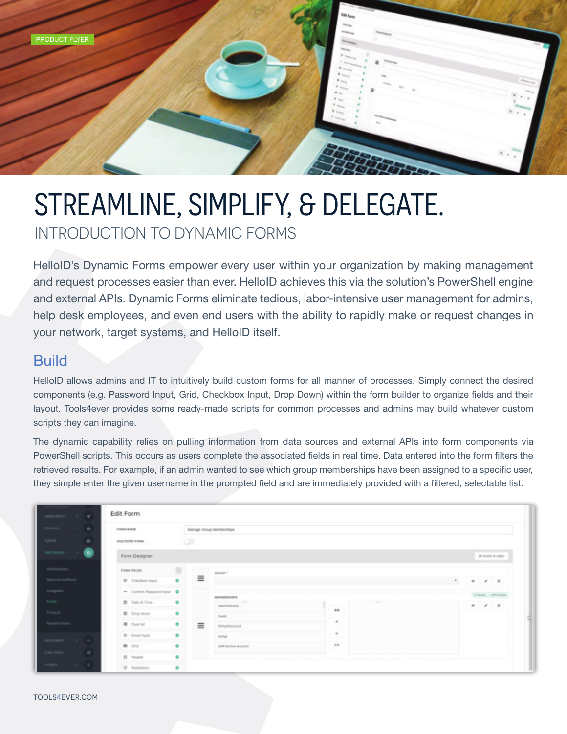

## STREAMLINE, SIMPLIFY, & DELEGATE. INTRODUCTION TO DYNAMIC FORMS

HelloID's Dynamic Forms empower every user within your organization by making management and request processes easier than ever. HelloID achieves this via the solution's PowerShell engine and external APIs. Dynamic Forms eliminate tedious, labor-intensive user management for admins, help desk employees, and even end users with the ability to rapidly make or request changes in your network, target systems, and HelloID itself.

## **Build**

HelloID allows admins and IT to intuitively build custom forms for all manner of processes. Simply connect the desired components (e.g. Password Input, Grid, Checkbox Input, Drop Down) within the form builder to organize fields and their layout. Tools4ever provides some ready-made scripts for common processes and admins may build whatever custom scripts they can imagine.

The dynamic capability relies on pulling information from data sources and external APIs into form components via PowerShell scripts. This occurs as users complete the associated fields in real time. Data entered into the form filters the retrieved results. For example, if an admin wanted to see which group memberships have been assigned to a specific user, they simple enter the given username in the prompted field and are immediately provided with a filtered, selectable list.

| $\epsilon$<br>Applications (1)                               | Edit Form                    |                     |   |                                      |                      |  |                       |
|--------------------------------------------------------------|------------------------------|---------------------|---|--------------------------------------|----------------------|--|-----------------------|
| Directory<br>A.                                              | <b>FORM SAME</b>             |                     |   | Manage Group Memberships             |                      |  |                       |
| Apenti<br>$\alpha$                                           | MULTIVER-FORM                | $\circ$             |   |                                      |                      |  |                       |
| Self Senace<br>◉                                             | Form Designer                |                     |   |                                      |                      |  | per bank in a price." |
| Abraham                                                      | FORM FRELIN                  | 固                   |   | <b>GROUP</b>                         |                      |  |                       |
| $\Lambda_{\rm 2D}$ and anothers $\label{eq:3D} The equation$ | St. Checkbox Input           | $\bullet$           | Ξ |                                      |                      |  | $*$ $*$ $*$<br>$\mu$  |
|                                                              | - Continen Pasquesed Input O |                     |   | <b>MOASERSAPE</b>                    |                      |  | 10mm 05-freq          |
| Time                                                         | <b>B</b> Data & Time         | ۰                   |   | according of money<br>Administration | <b>Service State</b> |  | $+ 7.1$               |
| $_{\rm froton}$                                              | D. Diop down                 | ۰                   | Ξ | <b>Foked</b>                         | $+$                  |  |                       |
| Request tratery                                              | <b>OR</b> Duality:           | ۰                   |   | OnfaultAssound                       | $\sim$               |  |                       |
| Asternation (V on)                                           | C Enail Input                | ۰                   |   | <b>Indept</b>                        | ÷                    |  |                       |
|                                                              | <b>BI</b> Crist              | ۰                   |   | <b>LAM Service Account</b>           | $+ +$                |  |                       |
| Data Ohen<br>41                                              | H Huster                     | $\ddot{\mathbf{0}}$ |   |                                      |                      |  |                       |
| reges.<br>$1 - 7$                                            | Of Markdown                  | ۰                   |   |                                      |                      |  |                       |